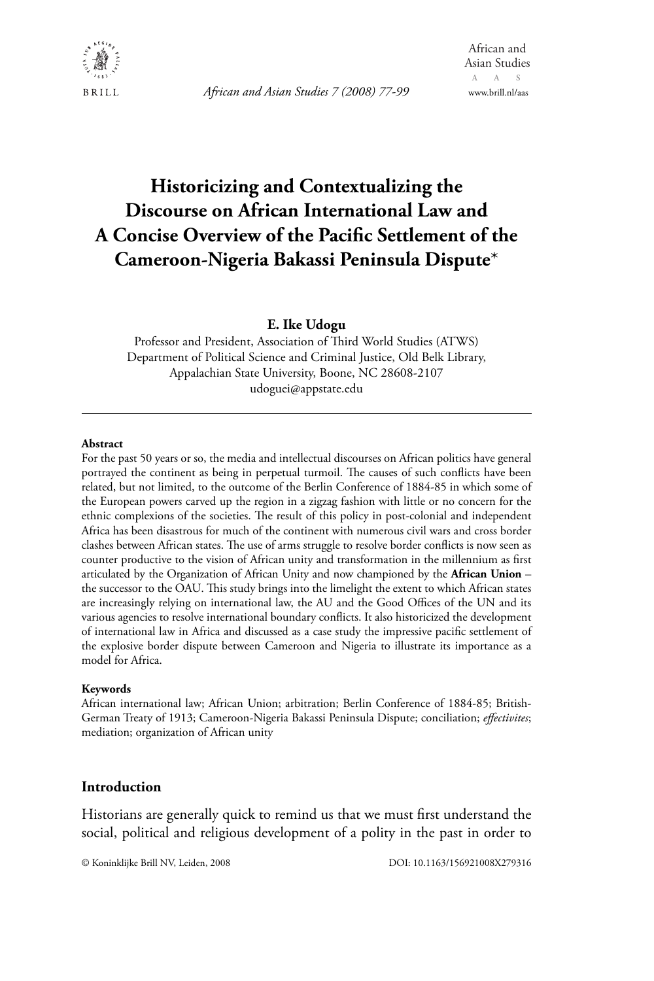

*African and Asian Studies 7 (2008) 77-99* www.brill.nl/aas

African and Asian Studies **A A S**

# **Historicizing and Contextualizing the Discourse on African International Law and A Concise Overview of the Pacific Settlement of the Cameroon-Nigeria Bakassi Peninsula Dispute**\*

#### **E. Ike Udogu**

Professor and President, Association of Third World Studies (ATWS) Department of Political Science and Criminal Justice, Old Belk Library, Appalachian State University, Boone, NC 28608-2107 udoguei@appstate.edu

#### **Abstract**

 For the past 50 years or so, the media and intellectual discourses on African politics have general portrayed the continent as being in perpetual turmoil. The causes of such conflicts have been related, but not limited, to the outcome of the Berlin Conference of 1884-85 in which some of the European powers carved up the region in a zigzag fashion with little or no concern for the ethnic complexions of the societies. The result of this policy in post-colonial and independent Africa has been disastrous for much of the continent with numerous civil wars and cross border clashes between African states. The use of arms struggle to resolve border conflicts is now seen as counter productive to the vision of African unity and transformation in the millennium as first articulated by the Organization of African Unity and now championed by the **African Union** – the successor to the OAU. This study brings into the limelight the extent to which African states are increasingly relying on international law, the AU and the Good Offices of the UN and its various agencies to resolve international boundary conflicts. It also historicized the development of international law in Africa and discussed as a case study the impressive pacific settlement of the explosive border dispute between Cameroon and Nigeria to illustrate its importance as a model for Africa.

#### **Keywords**

 African international law; African Union; arbitration; Berlin Conference of 1884-85; British-German Treaty of 1913; Cameroon-Nigeria Bakassi Peninsula Dispute; conciliation; *effectivites*; mediation; organization of African unity

### **Introduction**

 Historians are generally quick to remind us that we must first understand the social, political and religious development of a polity in the past in order to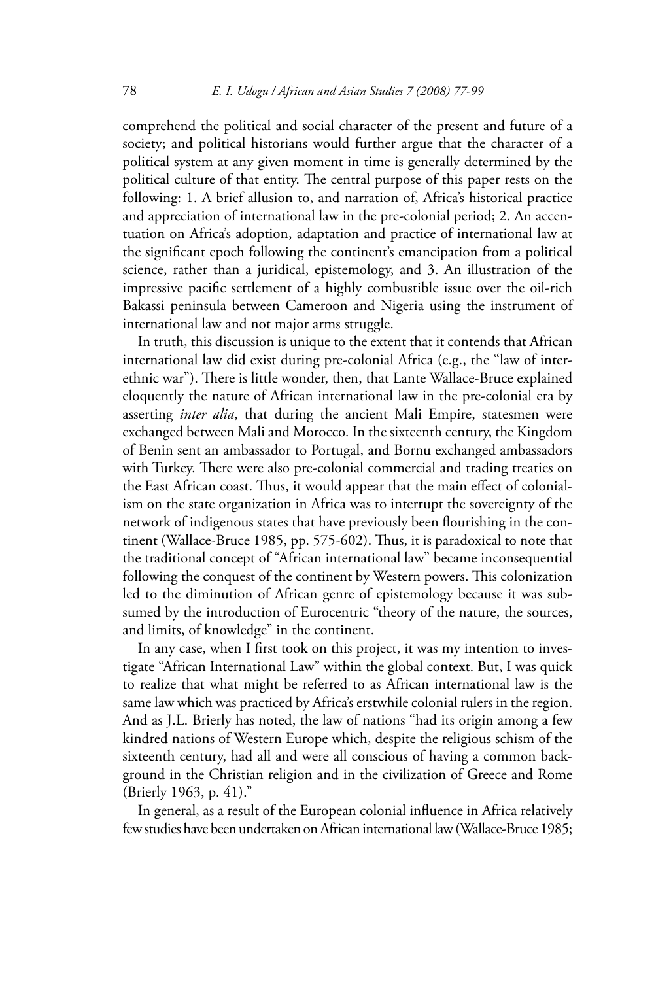comprehend the political and social character of the present and future of a society; and political historians would further argue that the character of a political system at any given moment in time is generally determined by the political culture of that entity. The central purpose of this paper rests on the following: 1. A brief allusion to, and narration of, Africa's historical practice and appreciation of international law in the pre-colonial period; 2. An accentuation on Africa's adoption, adaptation and practice of international law at the significant epoch following the continent's emancipation from a political science, rather than a juridical, epistemology, and 3. An illustration of the impressive pacific settlement of a highly combustible issue over the oil-rich Bakassi peninsula between Cameroon and Nigeria using the instrument of international law and not major arms struggle.

 In truth, this discussion is unique to the extent that it contends that African international law did exist during pre-colonial Africa (e.g., the "law of interethnic war"). There is little wonder, then, that Lante Wallace-Bruce explained eloquently the nature of African international law in the pre-colonial era by asserting *inter alia*, that during the ancient Mali Empire, statesmen were exchanged between Mali and Morocco. In the sixteenth century, the Kingdom of Benin sent an ambassador to Portugal, and Bornu exchanged ambassadors with Turkey. There were also pre-colonial commercial and trading treaties on the East African coast. Thus, it would appear that the main effect of colonialism on the state organization in Africa was to interrupt the sovereignty of the network of indigenous states that have previously been flourishing in the continent (Wallace-Bruce 1985, pp. 575-602). Thus, it is paradoxical to note that the traditional concept of "African international law" became inconsequential following the conquest of the continent by Western powers. This colonization led to the diminution of African genre of epistemology because it was subsumed by the introduction of Eurocentric "theory of the nature, the sources, and limits, of knowledge" in the continent.

 In any case, when I first took on this project, it was my intention to investigate "African International Law" within the global context. But, I was quick to realize that what might be referred to as African international law is the same law which was practiced by Africa's erstwhile colonial rulers in the region. And as J.L. Brierly has noted, the law of nations "had its origin among a few kindred nations of Western Europe which, despite the religious schism of the sixteenth century, had all and were all conscious of having a common background in the Christian religion and in the civilization of Greece and Rome (Brierly 1963, p. 41)."

 In general, as a result of the European colonial influence in Africa relatively few studies have been undertaken on African international law (Wallace-Bruce 1985;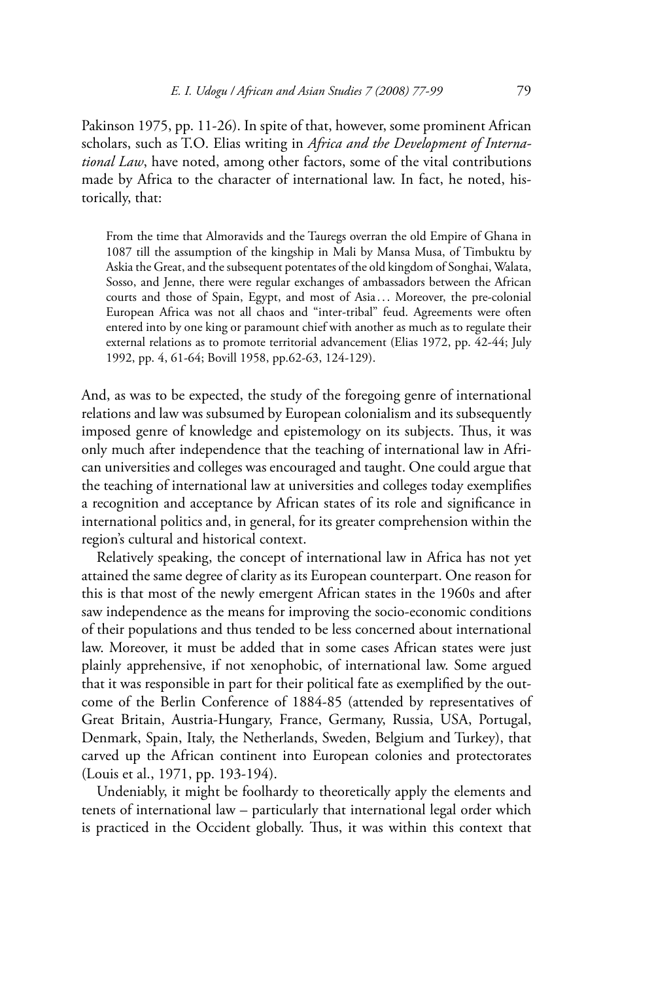Pakinson 1975, pp. 11-26). In spite of that, however, some prominent African scholars, such as T.O. Elias writing in *Africa and the Development of International Law*, have noted, among other factors, some of the vital contributions made by Africa to the character of international law. In fact, he noted, historically, that:

 From the time that Almoravids and the Tauregs overran the old Empire of Ghana in 1087 till the assumption of the kingship in Mali by Mansa Musa, of Timbuktu by Askia the Great, and the subsequent potentates of the old kingdom of Songhai, Walata, Sosso, and Jenne, there were regular exchanges of ambassadors between the African courts and those of Spain, Egypt, and most of Asia... Moreover, the pre-colonial European Africa was not all chaos and "inter-tribal" feud. Agreements were often entered into by one king or paramount chief with another as much as to regulate their external relations as to promote territorial advancement (Elias 1972, pp. 42-44; July 1992, pp. 4, 61-64; Bovill 1958, pp.62-63, 124-129).

 And, as was to be expected, the study of the foregoing genre of international relations and law was subsumed by European colonialism and its subsequently imposed genre of knowledge and epistemology on its subjects. Thus, it was only much after independence that the teaching of international law in African universities and colleges was encouraged and taught. One could argue that the teaching of international law at universities and colleges today exemplifies a recognition and acceptance by African states of its role and significance in international politics and, in general, for its greater comprehension within the region's cultural and historical context.

 Relatively speaking, the concept of international law in Africa has not yet attained the same degree of clarity as its European counterpart. One reason for this is that most of the newly emergent African states in the 1960s and after saw independence as the means for improving the socio-economic conditions of their populations and thus tended to be less concerned about international law. Moreover, it must be added that in some cases African states were just plainly apprehensive, if not xenophobic, of international law. Some argued that it was responsible in part for their political fate as exemplified by the outcome of the Berlin Conference of 1884-85 (attended by representatives of Great Britain, Austria-Hungary, France, Germany, Russia, USA, Portugal, Denmark, Spain, Italy, the Netherlands, Sweden, Belgium and Turkey), that carved up the African continent into European colonies and protectorates (Louis et al., 1971, pp. 193-194).

 Undeniably, it might be foolhardy to theoretically apply the elements and tenets of international law – particularly that international legal order which is practiced in the Occident globally. Thus, it was within this context that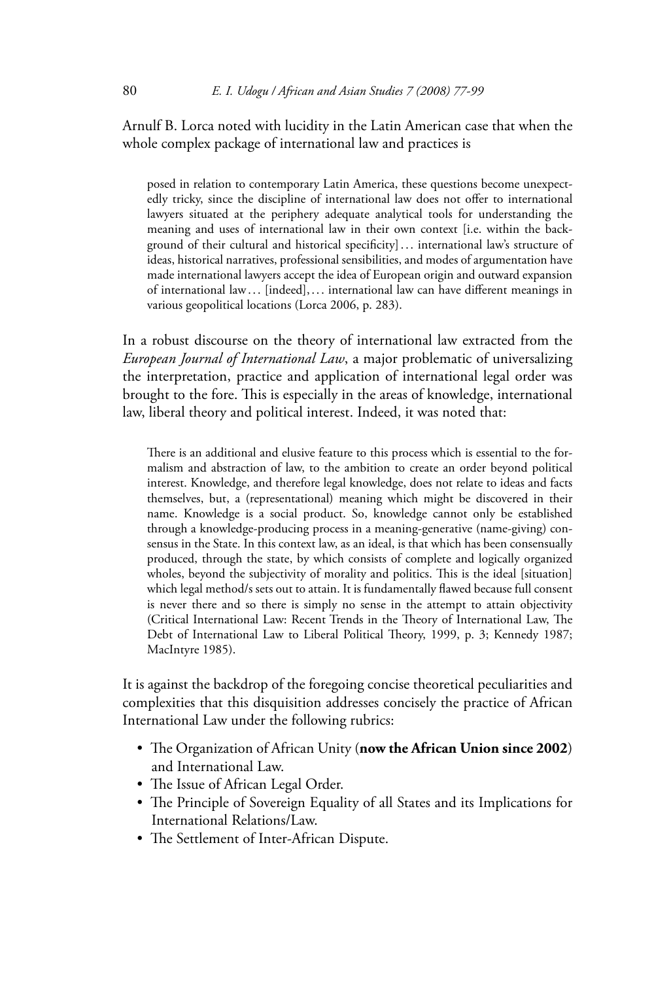Arnulf B. Lorca noted with lucidity in the Latin American case that when the whole complex package of international law and practices is

 posed in relation to contemporary Latin America, these questions become unexpectedly tricky, since the discipline of international law does not offer to international lawyers situated at the periphery adequate analytical tools for understanding the meaning and uses of international law in their own context [i.e. within the background of their cultural and historical specificity]... international law's structure of ideas, historical narratives, professional sensibilities, and modes of argumentation have made international lawyers accept the idea of European origin and outward expansion of international law . . . [indeed], . . . international law can have different meanings in various geopolitical locations (Lorca 2006, p. 283).

 In a robust discourse on the theory of international law extracted from the *European Journal of International Law*, a major problematic of universalizing the interpretation, practice and application of international legal order was brought to the fore. This is especially in the areas of knowledge, international law, liberal theory and political interest. Indeed, it was noted that:

There is an additional and elusive feature to this process which is essential to the formalism and abstraction of law, to the ambition to create an order beyond political interest. Knowledge, and therefore legal knowledge, does not relate to ideas and facts themselves, but, a (representational) meaning which might be discovered in their name. Knowledge is a social product. So, knowledge cannot only be established through a knowledge-producing process in a meaning-generative (name-giving) consensus in the State. In this context law, as an ideal, is that which has been consensually produced, through the state, by which consists of complete and logically organized wholes, beyond the subjectivity of morality and politics. This is the ideal [situation] which legal method/s sets out to attain. It is fundamentally flawed because full consent is never there and so there is simply no sense in the attempt to attain objectivity (Critical International Law: Recent Trends in the Theory of International Law, The Debt of International Law to Liberal Political Theory, 1999, p. 3; Kennedy 1987; MacIntyre 1985).

 It is against the backdrop of the foregoing concise theoretical peculiarities and complexities that this disquisition addresses concisely the practice of African International Law under the following rubrics:

- The Organization of African Unity (now the African Union since 2002) and International Law.
- The Issue of African Legal Order.
- The Principle of Sovereign Equality of all States and its Implications for International Relations/Law.
- The Settlement of Inter-African Dispute.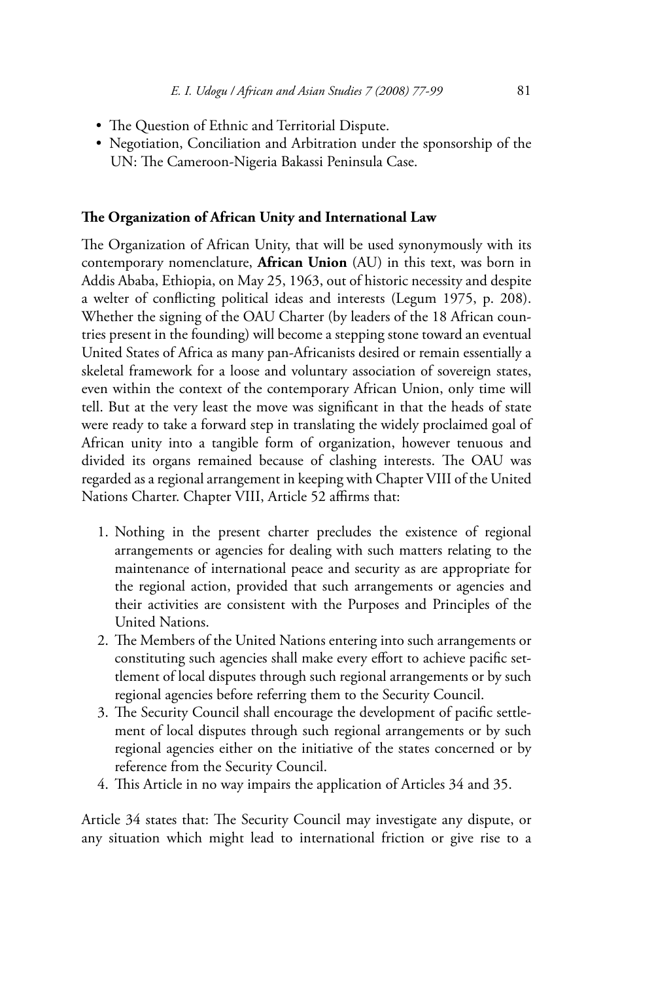- The Question of Ethnic and Territorial Dispute.
- Negotiation, Conciliation and Arbitration under the sponsorship of the UN: The Cameroon-Nigeria Bakassi Peninsula Case.

#### The Organization of African Unity and International Law

The Organization of African Unity, that will be used synonymously with its contemporary nomenclature, **African Union** (AU) in this text, was born in Addis Ababa, Ethiopia, on May 25, 1963, out of historic necessity and despite a welter of conflicting political ideas and interests (Legum 1975, p. 208). Whether the signing of the OAU Charter (by leaders of the 18 African countries present in the founding) will become a stepping stone toward an eventual United States of Africa as many pan-Africanists desired or remain essentially a skeletal framework for a loose and voluntary association of sovereign states, even within the context of the contemporary African Union, only time will tell. But at the very least the move was significant in that the heads of state were ready to take a forward step in translating the widely proclaimed goal of African unity into a tangible form of organization, however tenuous and divided its organs remained because of clashing interests. The OAU was regarded as a regional arrangement in keeping with Chapter VIII of the United Nations Charter. Chapter VIII, Article 52 affirms that:

- 1. Nothing in the present charter precludes the existence of regional arrangements or agencies for dealing with such matters relating to the maintenance of international peace and security as are appropriate for the regional action, provided that such arrangements or agencies and their activities are consistent with the Purposes and Principles of the United Nations.
- 2. The Members of the United Nations entering into such arrangements or constituting such agencies shall make every effort to achieve pacific settlement of local disputes through such regional arrangements or by such regional agencies before referring them to the Security Council.
- 3. The Security Council shall encourage the development of pacific settlement of local disputes through such regional arrangements or by such regional agencies either on the initiative of the states concerned or by reference from the Security Council.
- 4. This Article in no way impairs the application of Articles 34 and 35.

Article 34 states that: The Security Council may investigate any dispute, or any situation which might lead to international friction or give rise to a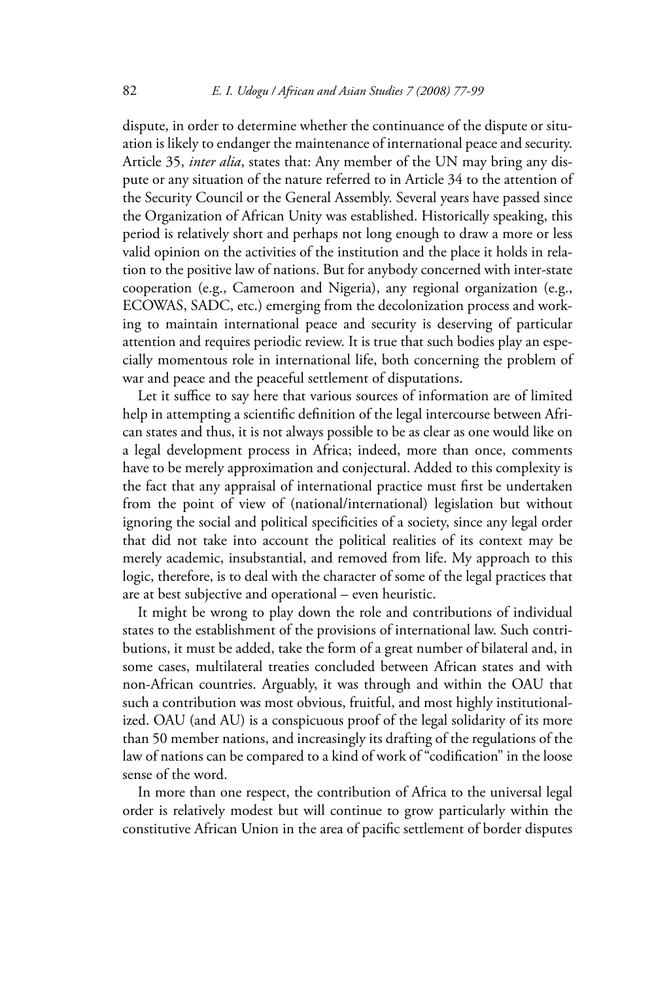dispute, in order to determine whether the continuance of the dispute or situation is likely to endanger the maintenance of international peace and security. Article 35, *inter alia*, states that: Any member of the UN may bring any dispute or any situation of the nature referred to in Article 34 to the attention of the Security Council or the General Assembly. Several years have passed since the Organization of African Unity was established. Historically speaking, this period is relatively short and perhaps not long enough to draw a more or less valid opinion on the activities of the institution and the place it holds in relation to the positive law of nations. But for anybody concerned with inter-state cooperation (e.g., Cameroon and Nigeria), any regional organization (e.g., ECOWAS, SADC, etc.) emerging from the decolonization process and working to maintain international peace and security is deserving of particular attention and requires periodic review. It is true that such bodies play an especially momentous role in international life, both concerning the problem of war and peace and the peaceful settlement of disputations.

 Let it suffice to say here that various sources of information are of limited help in attempting a scientific definition of the legal intercourse between African states and thus, it is not always possible to be as clear as one would like on a legal development process in Africa; indeed, more than once, comments have to be merely approximation and conjectural. Added to this complexity is the fact that any appraisal of international practice must first be undertaken from the point of view of (national/international) legislation but without ignoring the social and political specificities of a society, since any legal order that did not take into account the political realities of its context may be merely academic, insubstantial, and removed from life. My approach to this logic, therefore, is to deal with the character of some of the legal practices that are at best subjective and operational – even heuristic.

 It might be wrong to play down the role and contributions of individual states to the establishment of the provisions of international law. Such contributions, it must be added, take the form of a great number of bilateral and, in some cases, multilateral treaties concluded between African states and with non-African countries. Arguably, it was through and within the OAU that such a contribution was most obvious, fruitful, and most highly institutionalized. OAU (and AU) is a conspicuous proof of the legal solidarity of its more than 50 member nations, and increasingly its drafting of the regulations of the law of nations can be compared to a kind of work of "codification" in the loose sense of the word.

 In more than one respect, the contribution of Africa to the universal legal order is relatively modest but will continue to grow particularly within the constitutive African Union in the area of pacific settlement of border disputes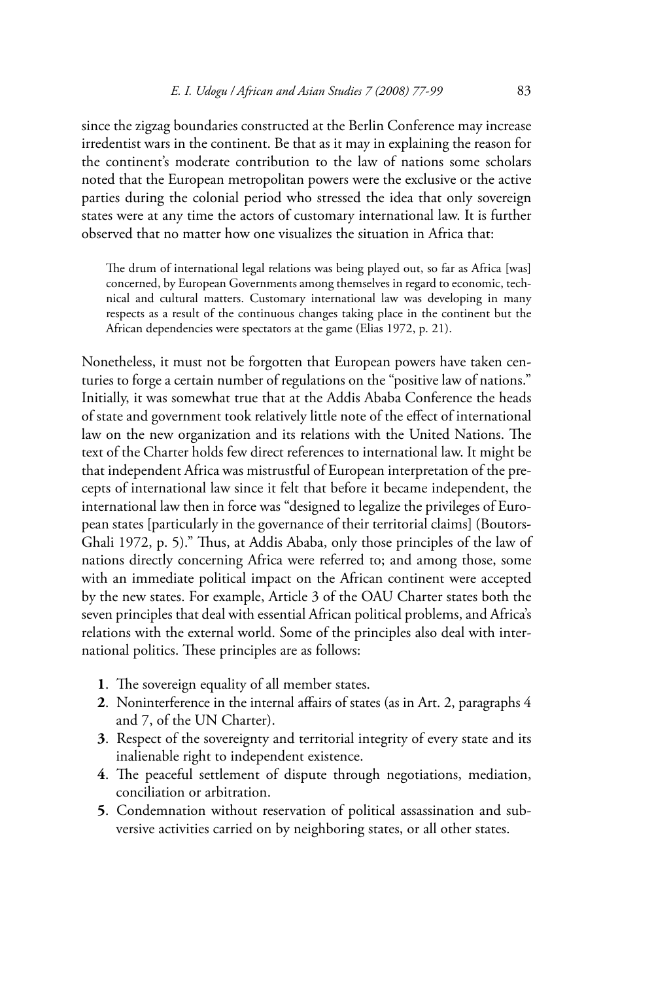since the zigzag boundaries constructed at the Berlin Conference may increase irredentist wars in the continent. Be that as it may in explaining the reason for the continent's moderate contribution to the law of nations some scholars noted that the European metropolitan powers were the exclusive or the active parties during the colonial period who stressed the idea that only sovereign states were at any time the actors of customary international law. It is further observed that no matter how one visualizes the situation in Africa that:

The drum of international legal relations was being played out, so far as Africa [was] concerned, by European Governments among themselves in regard to economic, technical and cultural matters. Customary international law was developing in many respects as a result of the continuous changes taking place in the continent but the African dependencies were spectators at the game (Elias 1972, p. 21).

 Nonetheless, it must not be forgotten that European powers have taken centuries to forge a certain number of regulations on the "positive law of nations." Initially, it was somewhat true that at the Addis Ababa Conference the heads of state and government took relatively little note of the effect of international law on the new organization and its relations with the United Nations. The text of the Charter holds few direct references to international law. It might be that independent Africa was mistrustful of European interpretation of the precepts of international law since it felt that before it became independent, the international law then in force was "designed to legalize the privileges of European states [particularly in the governance of their territorial claims] (Boutors-Ghali 1972, p. 5)." Thus, at Addis Ababa, only those principles of the law of nations directly concerning Africa were referred to; and among those, some with an immediate political impact on the African continent were accepted by the new states. For example, Article 3 of the OAU Charter states both the seven principles that deal with essential African political problems, and Africa's relations with the external world. Some of the principles also deal with international politics. These principles are as follows:

- **1**. The sovereign equality of all member states.
- **2**. Noninterference in the internal affairs of states (as in Art. 2, paragraphs 4 and 7, of the UN Charter).
- **3**. Respect of the sovereignty and territorial integrity of every state and its inalienable right to independent existence.
- 4. The peaceful settlement of dispute through negotiations, mediation, conciliation or arbitration.
- **5**. Condemnation without reservation of political assassination and subversive activities carried on by neighboring states, or all other states.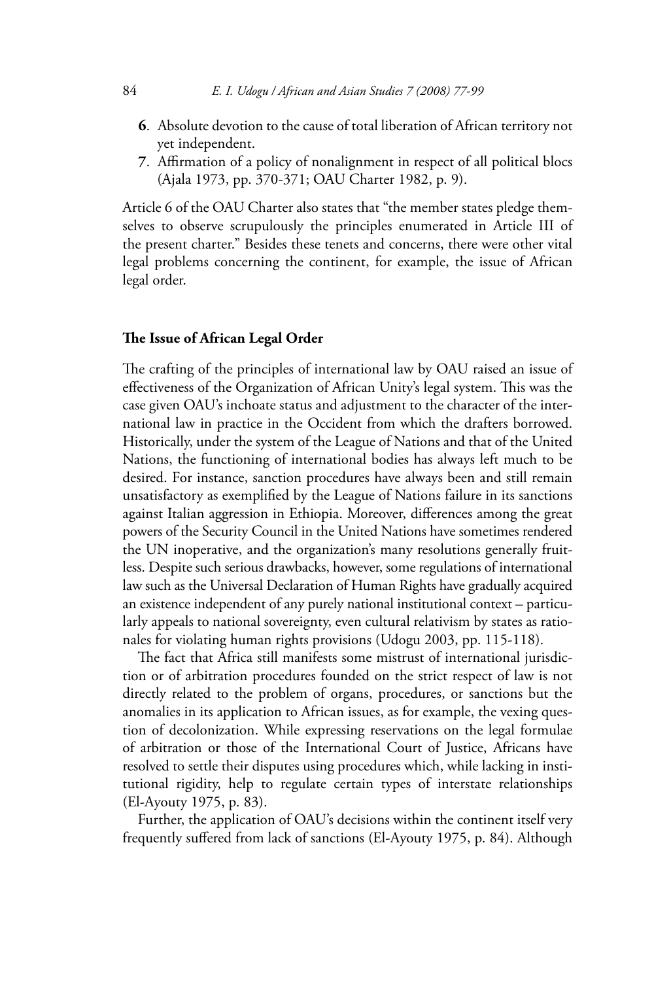- **6**. Absolute devotion to the cause of total liberation of African territory not yet independent.
- **7**. Affirmation of a policy of nonalignment in respect of all political blocs (Ajala 1973, pp. 370-371; OAU Charter 1982, p. 9).

 Article 6 of the OAU Charter also states that "the member states pledge themselves to observe scrupulously the principles enumerated in Article III of the present charter." Besides these tenets and concerns, there were other vital legal problems concerning the continent, for example, the issue of African legal order.

#### **The Issue of African Legal Order**

The crafting of the principles of international law by OAU raised an issue of effectiveness of the Organization of African Unity's legal system. This was the case given OAU's inchoate status and adjustment to the character of the international law in practice in the Occident from which the drafters borrowed. Historically, under the system of the League of Nations and that of the United Nations, the functioning of international bodies has always left much to be desired. For instance, sanction procedures have always been and still remain unsatisfactory as exemplified by the League of Nations failure in its sanctions against Italian aggression in Ethiopia. Moreover, differences among the great powers of the Security Council in the United Nations have sometimes rendered the UN inoperative, and the organization's many resolutions generally fruitless. Despite such serious drawbacks, however, some regulations of international law such as the Universal Declaration of Human Rights have gradually acquired an existence independent of any purely national institutional context – particularly appeals to national sovereignty, even cultural relativism by states as rationales for violating human rights provisions (Udogu 2003, pp. 115-118).

The fact that Africa still manifests some mistrust of international jurisdiction or of arbitration procedures founded on the strict respect of law is not directly related to the problem of organs, procedures, or sanctions but the anomalies in its application to African issues, as for example, the vexing question of decolonization. While expressing reservations on the legal formulae of arbitration or those of the International Court of Justice, Africans have resolved to settle their disputes using procedures which, while lacking in institutional rigidity, help to regulate certain types of interstate relationships (El-Ayouty 1975, p. 83).

 Further, the application of OAU's decisions within the continent itself very frequently suffered from lack of sanctions (El-Ayouty 1975, p. 84). Although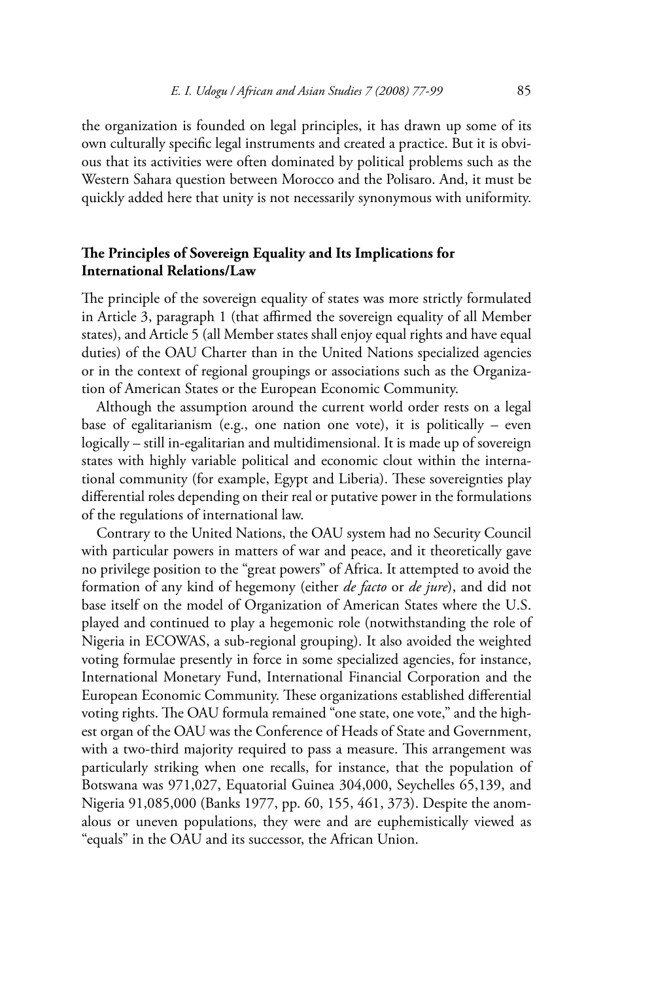the organization is founded on legal principles, it has drawn up some of its own culturally specific legal instruments and created a practice. But it is obvious that its activities were often dominated by political problems such as the Western Sahara question between Morocco and the Polisaro. And, it must be quickly added here that unity is not necessarily synonymous with uniformity.

## **The Principles of Sovereign Equality and Its Implications for International Relations/Law**

The principle of the sovereign equality of states was more strictly formulated in Article 3, paragraph 1 (that affirmed the sovereign equality of all Member states), and Article 5 (all Member states shall enjoy equal rights and have equal duties) of the OAU Charter than in the United Nations specialized agencies or in the context of regional groupings or associations such as the Organization of American States or the European Economic Community.

 Although the assumption around the current world order rests on a legal base of egalitarianism (e.g., one nation one vote), it is politically – even logically – still in-egalitarian and multidimensional. It is made up of sovereign states with highly variable political and economic clout within the international community (for example, Egypt and Liberia). These sovereignties play differential roles depending on their real or putative power in the formulations of the regulations of international law.

 Contrary to the United Nations, the OAU system had no Security Council with particular powers in matters of war and peace, and it theoretically gave no privilege position to the "great powers" of Africa. It attempted to avoid the formation of any kind of hegemony (either *de facto* or *de jure*), and did not base itself on the model of Organization of American States where the U.S. played and continued to play a hegemonic role (notwithstanding the role of Nigeria in ECOWAS, a sub-regional grouping). It also avoided the weighted voting formulae presently in force in some specialized agencies, for instance, International Monetary Fund, International Financial Corporation and the European Economic Community. These organizations established differential voting rights. The OAU formula remained "one state, one vote," and the highest organ of the OAU was the Conference of Heads of State and Government, with a two-third majority required to pass a measure. This arrangement was particularly striking when one recalls, for instance, that the population of Botswana was 971,027, Equatorial Guinea 304,000, Seychelles 65,139, and Nigeria 91,085,000 (Banks 1977, pp. 60, 155, 461, 373). Despite the anomalous or uneven populations, they were and are euphemistically viewed as "equals" in the OAU and its successor, the African Union.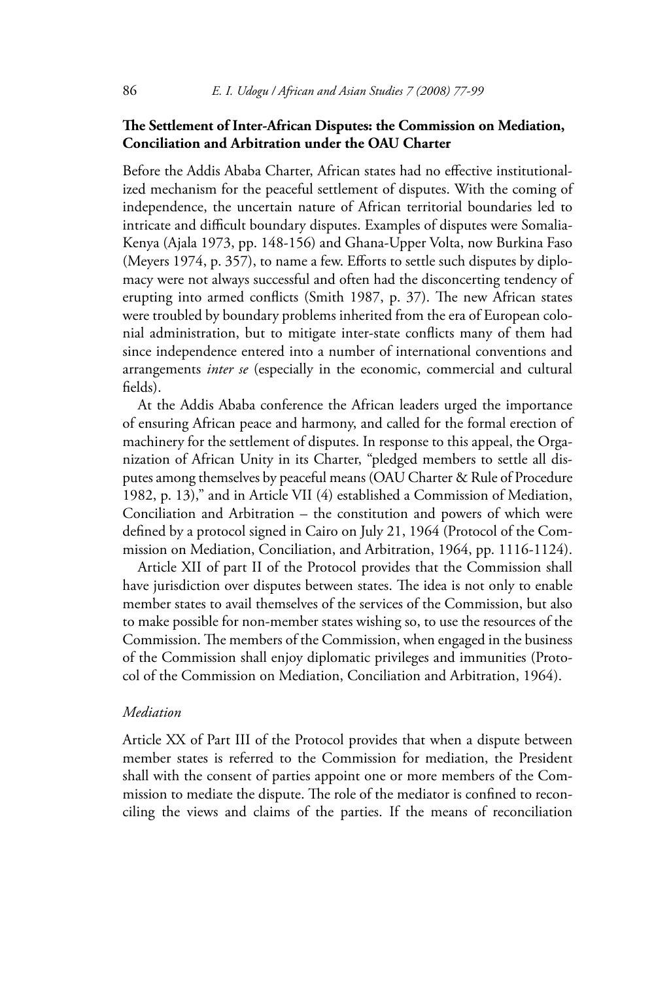## The Settlement of Inter-African Disputes: the Commission on Mediation, **Conciliation and Arbitration under the OAU Charter**

 Before the Addis Ababa Charter, African states had no effective institutionalized mechanism for the peaceful settlement of disputes. With the coming of independence, the uncertain nature of African territorial boundaries led to intricate and difficult boundary disputes. Examples of disputes were Somalia-Kenya (Ajala 1973, pp. 148-156) and Ghana-Upper Volta, now Burkina Faso (Meyers 1974, p. 357), to name a few. Efforts to settle such disputes by diplomacy were not always successful and often had the disconcerting tendency of erupting into armed conflicts (Smith 1987, p. 37). The new African states were troubled by boundary problems inherited from the era of European colonial administration, but to mitigate inter-state conflicts many of them had since independence entered into a number of international conventions and arrangements *inter se* (especially in the economic, commercial and cultural fields).

 At the Addis Ababa conference the African leaders urged the importance of ensuring African peace and harmony, and called for the formal erection of machinery for the settlement of disputes. In response to this appeal, the Organization of African Unity in its Charter, "pledged members to settle all disputes among themselves by peaceful means (OAU Charter & Rule of Procedure 1982, p. 13)," and in Article VII (4) established a Commission of Mediation, Conciliation and Arbitration – the constitution and powers of which were defined by a protocol signed in Cairo on July 21, 1964 (Protocol of the Commission on Mediation, Conciliation, and Arbitration, 1964, pp. 1116-1124).

 Article XII of part II of the Protocol provides that the Commission shall have jurisdiction over disputes between states. The idea is not only to enable member states to avail themselves of the services of the Commission, but also to make possible for non-member states wishing so, to use the resources of the Commission. The members of the Commission, when engaged in the business of the Commission shall enjoy diplomatic privileges and immunities (Protocol of the Commission on Mediation, Conciliation and Arbitration, 1964).

#### *Mediation*

 Article XX of Part III of the Protocol provides that when a dispute between member states is referred to the Commission for mediation, the President shall with the consent of parties appoint one or more members of the Commission to mediate the dispute. The role of the mediator is confined to reconciling the views and claims of the parties. If the means of reconciliation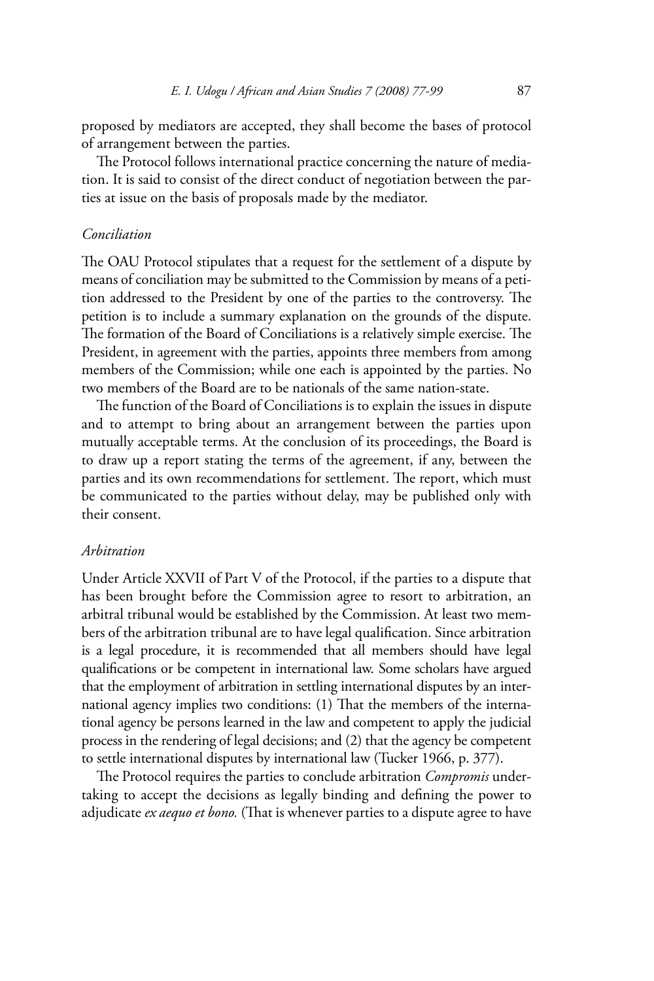proposed by mediators are accepted, they shall become the bases of protocol of arrangement between the parties.

The Protocol follows international practice concerning the nature of mediation. It is said to consist of the direct conduct of negotiation between the parties at issue on the basis of proposals made by the mediator.

#### *Conciliation*

The OAU Protocol stipulates that a request for the settlement of a dispute by means of conciliation may be submitted to the Commission by means of a petition addressed to the President by one of the parties to the controversy. The petition is to include a summary explanation on the grounds of the dispute. The formation of the Board of Conciliations is a relatively simple exercise. The President, in agreement with the parties, appoints three members from among members of the Commission; while one each is appointed by the parties. No two members of the Board are to be nationals of the same nation-state.

The function of the Board of Conciliations is to explain the issues in dispute and to attempt to bring about an arrangement between the parties upon mutually acceptable terms. At the conclusion of its proceedings, the Board is to draw up a report stating the terms of the agreement, if any, between the parties and its own recommendations for settlement. The report, which must be communicated to the parties without delay, may be published only with their consent.

### *Arbitration*

 Under Article XXVII of Part V of the Protocol, if the parties to a dispute that has been brought before the Commission agree to resort to arbitration, an arbitral tribunal would be established by the Commission. At least two members of the arbitration tribunal are to have legal qualification. Since arbitration is a legal procedure, it is recommended that all members should have legal qualifications or be competent in international law. Some scholars have argued that the employment of arbitration in settling international disputes by an international agency implies two conditions: (1) That the members of the international agency be persons learned in the law and competent to apply the judicial process in the rendering of legal decisions; and (2) that the agency be competent to settle international disputes by international law (Tucker 1966, p. 377).

The Protocol requires the parties to conclude arbitration *Compromis* undertaking to accept the decisions as legally binding and defining the power to adjudicate *ex aequo et bono*. (That is whenever parties to a dispute agree to have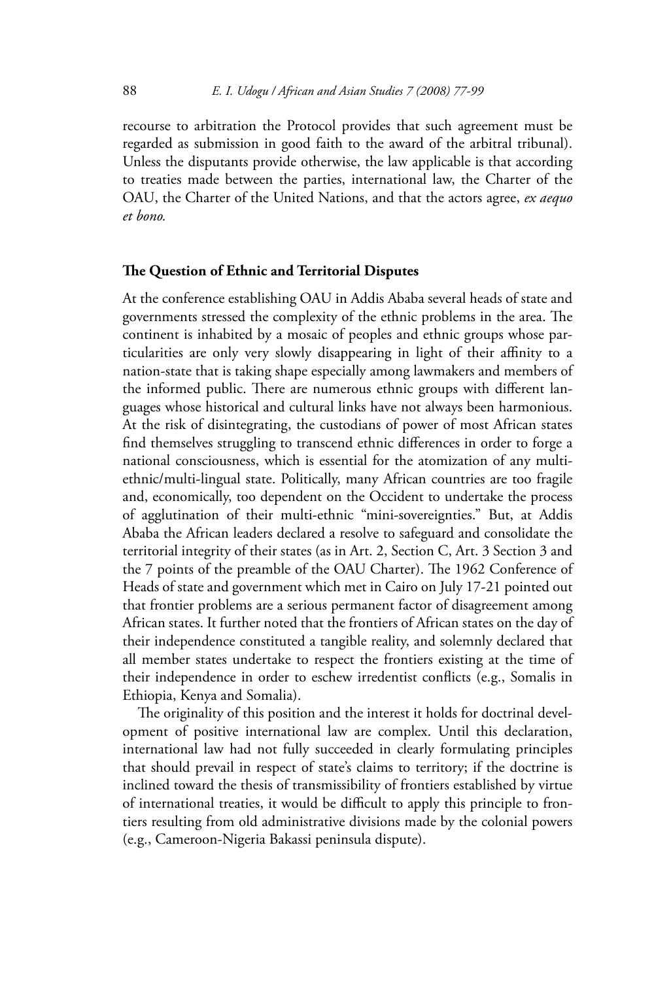recourse to arbitration the Protocol provides that such agreement must be regarded as submission in good faith to the award of the arbitral tribunal). Unless the disputants provide otherwise, the law applicable is that according to treaties made between the parties, international law, the Charter of the OAU, the Charter of the United Nations, and that the actors agree, *ex aequo et bono.* 

## **The Question of Ethnic and Territorial Disputes**

 At the conference establishing OAU in Addis Ababa several heads of state and governments stressed the complexity of the ethnic problems in the area. The continent is inhabited by a mosaic of peoples and ethnic groups whose particularities are only very slowly disappearing in light of their affinity to a nation-state that is taking shape especially among lawmakers and members of the informed public. There are numerous ethnic groups with different languages whose historical and cultural links have not always been harmonious. At the risk of disintegrating, the custodians of power of most African states find themselves struggling to transcend ethnic differences in order to forge a national consciousness, which is essential for the atomization of any multiethnic/multi-lingual state. Politically, many African countries are too fragile and, economically, too dependent on the Occident to undertake the process of agglutination of their multi-ethnic "mini-sovereignties." But, at Addis Ababa the African leaders declared a resolve to safeguard and consolidate the territorial integrity of their states (as in Art. 2, Section C, Art. 3 Section 3 and the 7 points of the preamble of the OAU Charter). The 1962 Conference of Heads of state and government which met in Cairo on July 17-21 pointed out that frontier problems are a serious permanent factor of disagreement among African states. It further noted that the frontiers of African states on the day of their independence constituted a tangible reality, and solemnly declared that all member states undertake to respect the frontiers existing at the time of their independence in order to eschew irredentist conflicts (e.g., Somalis in Ethiopia, Kenya and Somalia).

The originality of this position and the interest it holds for doctrinal development of positive international law are complex. Until this declaration, international law had not fully succeeded in clearly formulating principles that should prevail in respect of state's claims to territory; if the doctrine is inclined toward the thesis of transmissibility of frontiers established by virtue of international treaties, it would be difficult to apply this principle to frontiers resulting from old administrative divisions made by the colonial powers (e.g., Cameroon-Nigeria Bakassi peninsula dispute).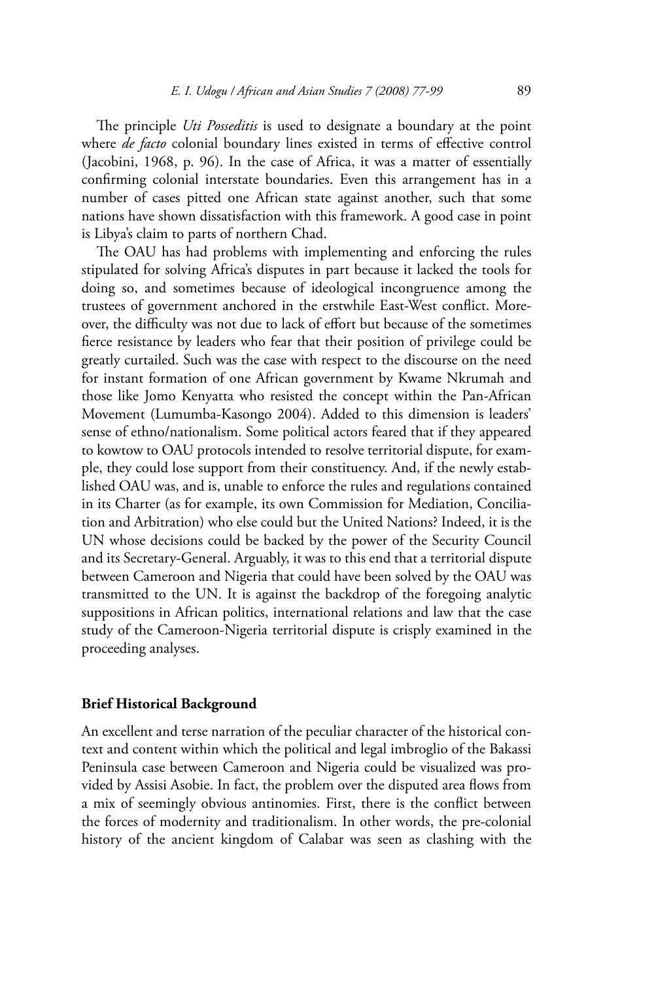The principle *Uti Posseditis* is used to designate a boundary at the point where *de facto* colonial boundary lines existed in terms of effective control (Jacobini, 1968, p. 96). In the case of Africa, it was a matter of essentially confirming colonial interstate boundaries. Even this arrangement has in a number of cases pitted one African state against another, such that some nations have shown dissatisfaction with this framework. A good case in point is Libya's claim to parts of northern Chad.

The OAU has had problems with implementing and enforcing the rules stipulated for solving Africa's disputes in part because it lacked the tools for doing so, and sometimes because of ideological incongruence among the trustees of government anchored in the erstwhile East-West conflict. Moreover, the difficulty was not due to lack of effort but because of the sometimes fierce resistance by leaders who fear that their position of privilege could be greatly curtailed. Such was the case with respect to the discourse on the need for instant formation of one African government by Kwame Nkrumah and those like Jomo Kenyatta who resisted the concept within the Pan-African Movement (Lumumba-Kasongo 2004). Added to this dimension is leaders' sense of ethno/nationalism. Some political actors feared that if they appeared to kowtow to OAU protocols intended to resolve territorial dispute, for example, they could lose support from their constituency. And, if the newly established OAU was, and is, unable to enforce the rules and regulations contained in its Charter (as for example, its own Commission for Mediation, Conciliation and Arbitration) who else could but the United Nations? Indeed, it is the UN whose decisions could be backed by the power of the Security Council and its Secretary-General. Arguably, it was to this end that a territorial dispute between Cameroon and Nigeria that could have been solved by the OAU was transmitted to the UN. It is against the backdrop of the foregoing analytic suppositions in African politics, international relations and law that the case study of the Cameroon-Nigeria territorial dispute is crisply examined in the proceeding analyses.

## **Brief Historical Background**

 An excellent and terse narration of the peculiar character of the historical context and content within which the political and legal imbroglio of the Bakassi Peninsula case between Cameroon and Nigeria could be visualized was provided by Assisi Asobie. In fact, the problem over the disputed area flows from a mix of seemingly obvious antinomies. First, there is the conflict between the forces of modernity and traditionalism. In other words, the pre-colonial history of the ancient kingdom of Calabar was seen as clashing with the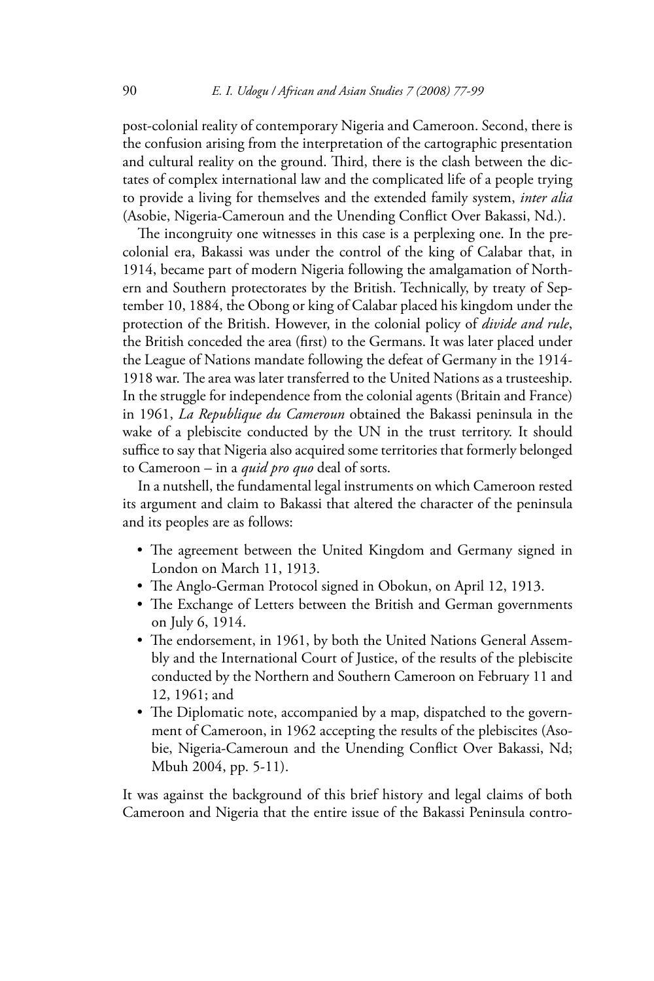post-colonial reality of contemporary Nigeria and Cameroon. Second, there is the confusion arising from the interpretation of the cartographic presentation and cultural reality on the ground. Third, there is the clash between the dictates of complex international law and the complicated life of a people trying to provide a living for themselves and the extended family system, *inter alia* (Asobie, Nigeria-Cameroun and the Unending Conflict Over Bakassi, Nd.).

The incongruity one witnesses in this case is a perplexing one. In the precolonial era, Bakassi was under the control of the king of Calabar that, in 1914, became part of modern Nigeria following the amalgamation of Northern and Southern protectorates by the British. Technically, by treaty of September 10, 1884, the Obong or king of Calabar placed his kingdom under the protection of the British. However, in the colonial policy of *divide and rule*, the British conceded the area (first) to the Germans. It was later placed under the League of Nations mandate following the defeat of Germany in the 1914- 1918 war. The area was later transferred to the United Nations as a trusteeship. In the struggle for independence from the colonial agents (Britain and France) in 1961, *La Republique du Cameroun* obtained the Bakassi peninsula in the wake of a plebiscite conducted by the UN in the trust territory. It should suffice to say that Nigeria also acquired some territories that formerly belonged to Cameroon – in a *quid pro quo* deal of sorts.

 In a nutshell, the fundamental legal instruments on which Cameroon rested its argument and claim to Bakassi that altered the character of the peninsula and its peoples are as follows:

- The agreement between the United Kingdom and Germany signed in London on March 11, 1913.
- The Anglo-German Protocol signed in Obokun, on April 12, 1913.
- The Exchange of Letters between the British and German governments on July 6, 1914.
- The endorsement, in 1961, by both the United Nations General Assembly and the International Court of Justice, of the results of the plebiscite conducted by the Northern and Southern Cameroon on February 11 and 12, 1961; and
- The Diplomatic note, accompanied by a map, dispatched to the government of Cameroon, in 1962 accepting the results of the plebiscites (Asobie, Nigeria-Cameroun and the Unending Conflict Over Bakassi, Nd; Mbuh 2004, pp. 5-11).

 It was against the background of this brief history and legal claims of both Cameroon and Nigeria that the entire issue of the Bakassi Peninsula contro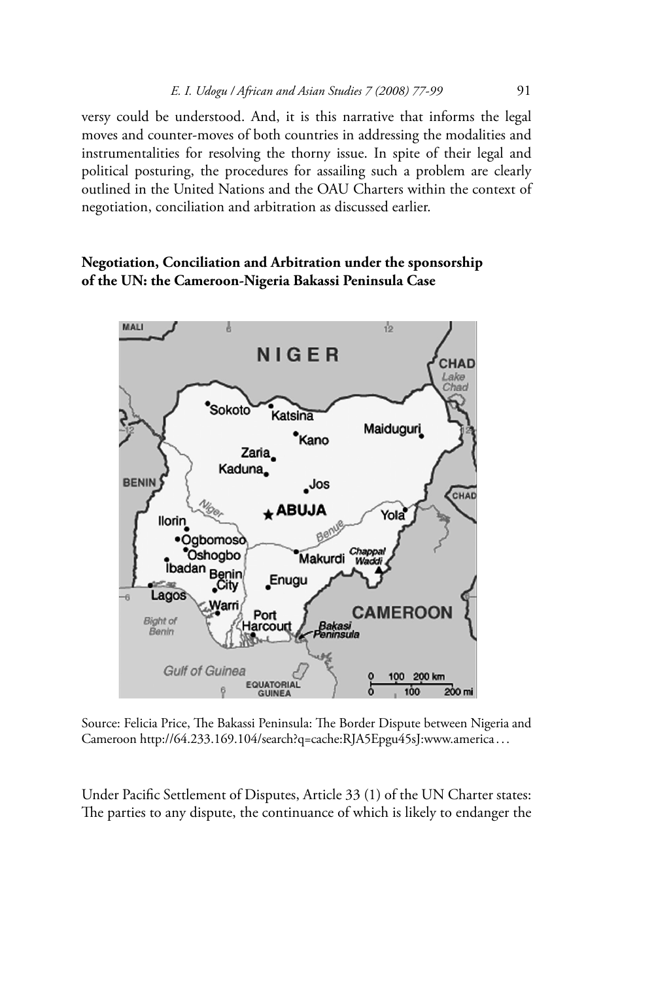versy could be understood. And, it is this narrative that informs the legal moves and counter-moves of both countries in addressing the modalities and instrumentalities for resolving the thorny issue. In spite of their legal and political posturing, the procedures for assailing such a problem are clearly outlined in the United Nations and the OAU Charters within the context of negotiation, conciliation and arbitration as discussed earlier.

# **Negotiation, Conciliation and Arbitration under the sponsorship of the UN: the Cameroon-Nigeria Bakassi Peninsula Case**



Source: Felicia Price, The Bakassi Peninsula: The Border Dispute between Nigeria and Cameroon http://64.233.169.104/search?q=cache:RJA5Epgu45sJ:www.america...

 Under Pacific Settlement of Disputes, Article 33 (1) of the UN Charter states: The parties to any dispute, the continuance of which is likely to endanger the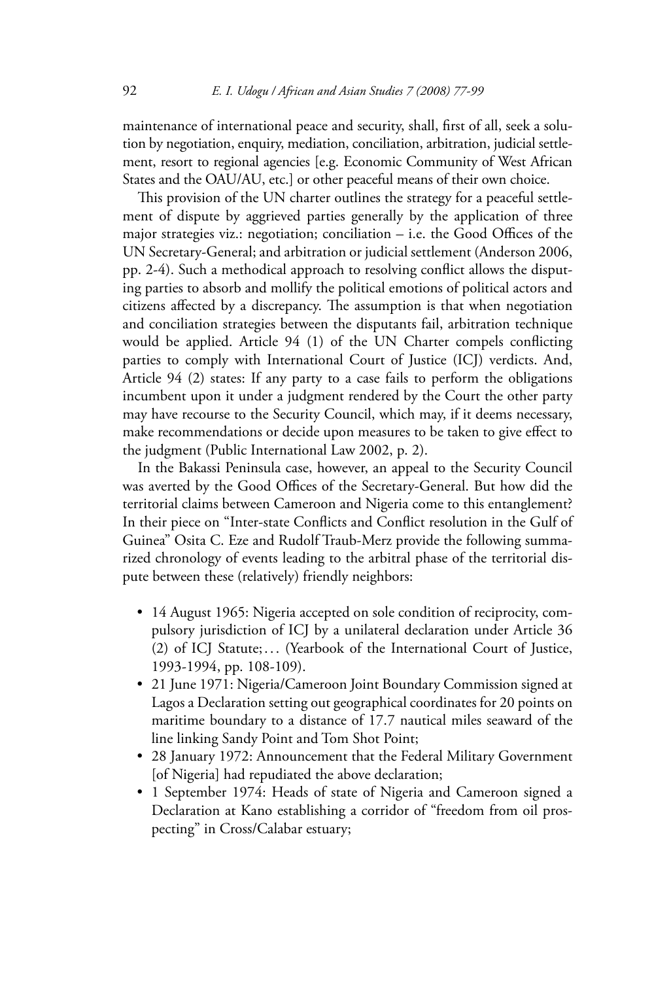maintenance of international peace and security, shall, first of all, seek a solution by negotiation, enquiry, mediation, conciliation, arbitration, judicial settlement, resort to regional agencies [e.g. Economic Community of West African States and the OAU/AU, etc.] or other peaceful means of their own choice.

This provision of the UN charter outlines the strategy for a peaceful settlement of dispute by aggrieved parties generally by the application of three major strategies viz.: negotiation; conciliation – i.e. the Good Offices of the UN Secretary-General; and arbitration or judicial settlement (Anderson 2006, pp. 2-4). Such a methodical approach to resolving conflict allows the disputing parties to absorb and mollify the political emotions of political actors and citizens affected by a discrepancy. The assumption is that when negotiation and conciliation strategies between the disputants fail, arbitration technique would be applied. Article 94 (1) of the UN Charter compels conflicting parties to comply with International Court of Justice (ICJ) verdicts. And, Article 94 (2) states: If any party to a case fails to perform the obligations incumbent upon it under a judgment rendered by the Court the other party may have recourse to the Security Council, which may, if it deems necessary, make recommendations or decide upon measures to be taken to give effect to the judgment (Public International Law 2002, p. 2).

 In the Bakassi Peninsula case, however, an appeal to the Security Council was averted by the Good Offices of the Secretary-General. But how did the territorial claims between Cameroon and Nigeria come to this entanglement? In their piece on "Inter-state Conflicts and Conflict resolution in the Gulf of Guinea" Osita C. Eze and Rudolf Traub-Merz provide the following summarized chronology of events leading to the arbitral phase of the territorial dispute between these (relatively) friendly neighbors:

- 14 August 1965: Nigeria accepted on sole condition of reciprocity, compulsory jurisdiction of ICJ by a unilateral declaration under Article 36 (2) of ICJ Statute;... (Yearbook of the International Court of Justice, 1993-1994, pp. 108-109).
- 21 June 1971: Nigeria/Cameroon Joint Boundary Commission signed at Lagos a Declaration setting out geographical coordinates for 20 points on maritime boundary to a distance of 17.7 nautical miles seaward of the line linking Sandy Point and Tom Shot Point;
- 28 January 1972: Announcement that the Federal Military Government [of Nigeria] had repudiated the above declaration;
- 1 September 1974: Heads of state of Nigeria and Cameroon signed a Declaration at Kano establishing a corridor of "freedom from oil prospecting" in Cross/Calabar estuary;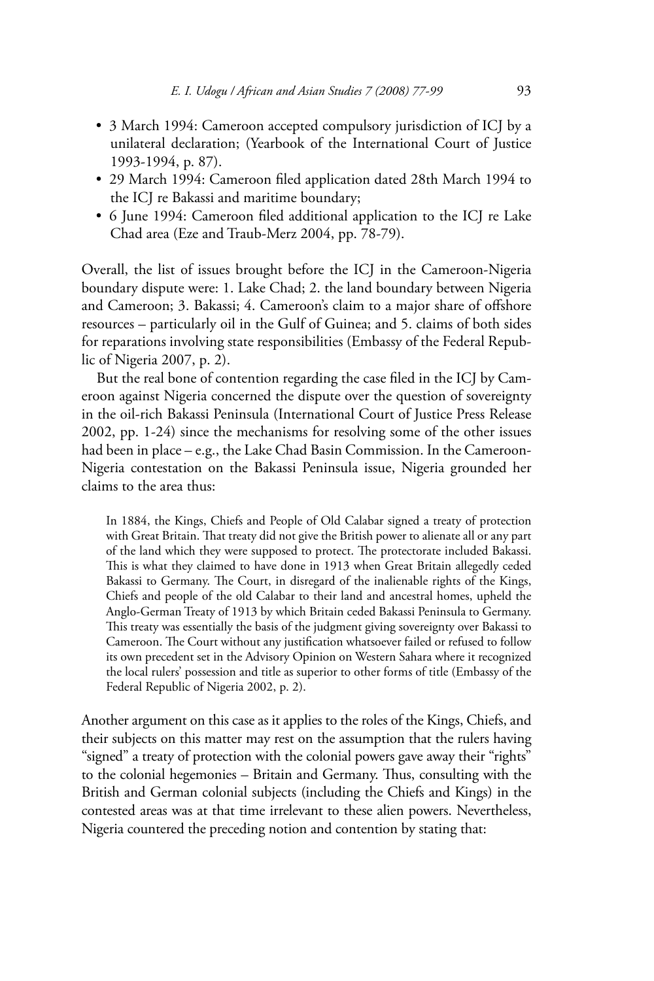- 3 March 1994: Cameroon accepted compulsory jurisdiction of ICJ by a unilateral declaration; (Yearbook of the International Court of Justice 1993-1994, p. 87).
- 29 March 1994: Cameroon filed application dated 28th March 1994 to the ICJ re Bakassi and maritime boundary;
- 6 June 1994: Cameroon filed additional application to the ICJ re Lake Chad area (Eze and Traub-Merz 2004, pp. 78-79).

 Overall, the list of issues brought before the ICJ in the Cameroon-Nigeria boundary dispute were: 1. Lake Chad; 2. the land boundary between Nigeria and Cameroon; 3. Bakassi; 4. Cameroon's claim to a major share of offshore resources – particularly oil in the Gulf of Guinea; and 5. claims of both sides for reparations involving state responsibilities (Embassy of the Federal Republic of Nigeria 2007, p. 2).

 But the real bone of contention regarding the case filed in the ICJ by Cameroon against Nigeria concerned the dispute over the question of sovereignty in the oil-rich Bakassi Peninsula (International Court of Justice Press Release 2002, pp. 1-24) since the mechanisms for resolving some of the other issues had been in place – e.g., the Lake Chad Basin Commission. In the Cameroon-Nigeria contestation on the Bakassi Peninsula issue, Nigeria grounded her claims to the area thus:

 In 1884, the Kings, Chiefs and People of Old Calabar signed a treaty of protection with Great Britain. That treaty did not give the British power to alienate all or any part of the land which they were supposed to protect. The protectorate included Bakassi. This is what they claimed to have done in 1913 when Great Britain allegedly ceded Bakassi to Germany. The Court, in disregard of the inalienable rights of the Kings, Chiefs and people of the old Calabar to their land and ancestral homes, upheld the Anglo-German Treaty of 1913 by which Britain ceded Bakassi Peninsula to Germany. This treaty was essentially the basis of the judgment giving sovereignty over Bakassi to Cameroon. The Court without any justification whatsoever failed or refused to follow its own precedent set in the Advisory Opinion on Western Sahara where it recognized the local rulers' possession and title as superior to other forms of title (Embassy of the Federal Republic of Nigeria 2002, p. 2).

 Another argument on this case as it applies to the roles of the Kings, Chiefs, and their subjects on this matter may rest on the assumption that the rulers having "signed" a treaty of protection with the colonial powers gave away their "rights" to the colonial hegemonies – Britain and Germany. Thus, consulting with the British and German colonial subjects (including the Chiefs and Kings) in the contested areas was at that time irrelevant to these alien powers. Nevertheless, Nigeria countered the preceding notion and contention by stating that: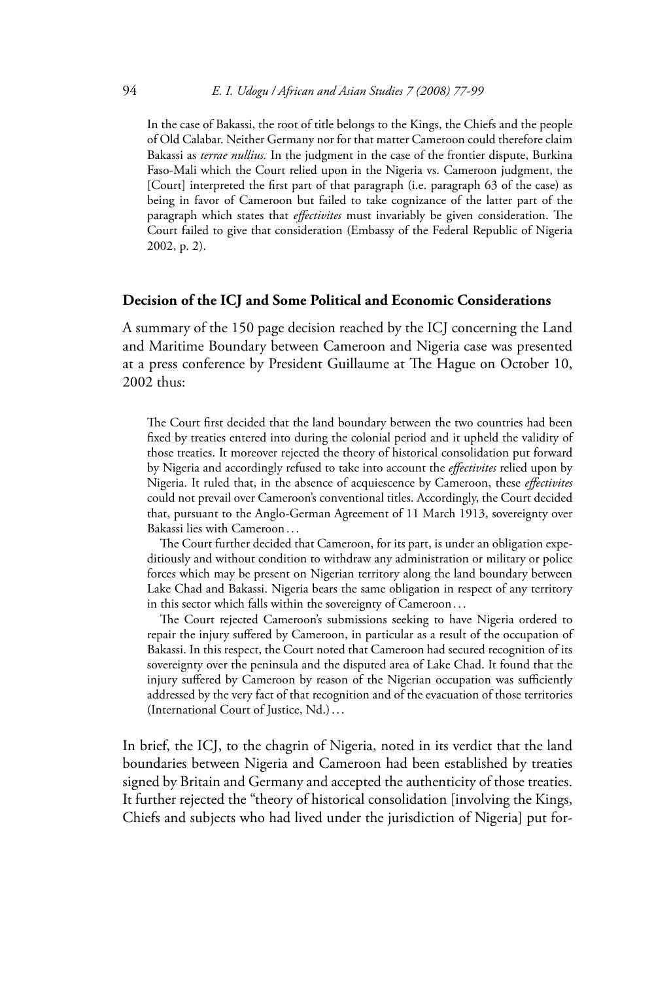In the case of Bakassi, the root of title belongs to the Kings, the Chiefs and the people of Old Calabar. Neither Germany nor for that matter Cameroon could therefore claim Bakassi as *terrae nullius.* In the judgment in the case of the frontier dispute, Burkina Faso-Mali which the Court relied upon in the Nigeria vs. Cameroon judgment, the [Court] interpreted the first part of that paragraph (i.e. paragraph 63 of the case) as being in favor of Cameroon but failed to take cognizance of the latter part of the paragraph which states that *effectivites* must invariably be given consideration. The Court failed to give that consideration (Embassy of the Federal Republic of Nigeria 2002, p. 2).

#### **Decision of the ICJ and Some Political and Economic Considerations**

 A summary of the 150 page decision reached by the ICJ concerning the Land and Maritime Boundary between Cameroon and Nigeria case was presented at a press conference by President Guillaume at The Hague on October 10, 2002 thus:

The Court first decided that the land boundary between the two countries had been fixed by treaties entered into during the colonial period and it upheld the validity of those treaties. It moreover rejected the theory of historical consolidation put forward by Nigeria and accordingly refused to take into account the *effectivites* relied upon by Nigeria. It ruled that, in the absence of acquiescence by Cameroon, these *effectivites* could not prevail over Cameroon's conventional titles. Accordingly, the Court decided that, pursuant to the Anglo-German Agreement of 11 March 1913, sovereignty over Bakassi lies with Cameroon . . .

The Court further decided that Cameroon, for its part, is under an obligation expeditiously and without condition to withdraw any administration or military or police forces which may be present on Nigerian territory along the land boundary between Lake Chad and Bakassi. Nigeria bears the same obligation in respect of any territory in this sector which falls within the sovereignty of Cameroon . . .

The Court rejected Cameroon's submissions seeking to have Nigeria ordered to repair the injury suffered by Cameroon, in particular as a result of the occupation of Bakassi. In this respect, the Court noted that Cameroon had secured recognition of its sovereignty over the peninsula and the disputed area of Lake Chad. It found that the injury suffered by Cameroon by reason of the Nigerian occupation was sufficiently addressed by the very fact of that recognition and of the evacuation of those territories (International Court of Justice, Nd.) . . .

 In brief, the ICJ, to the chagrin of Nigeria, noted in its verdict that the land boundaries between Nigeria and Cameroon had been established by treaties signed by Britain and Germany and accepted the authenticity of those treaties. It further rejected the "theory of historical consolidation [involving the Kings, Chiefs and subjects who had lived under the jurisdiction of Nigeria] put for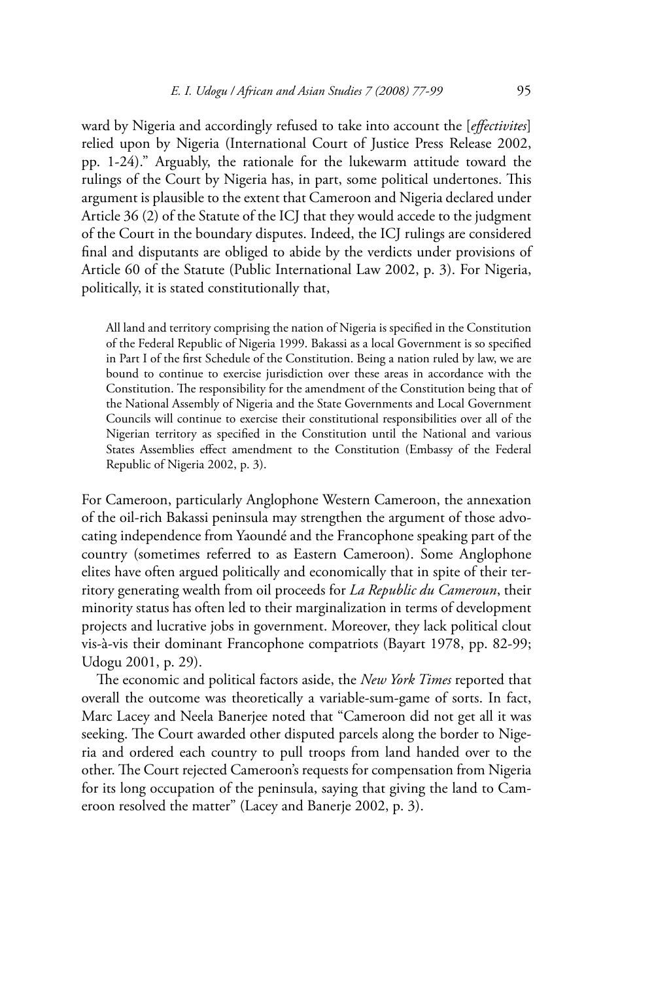ward by Nigeria and accordingly refused to take into account the [*effectivites*] relied upon by Nigeria (International Court of Justice Press Release 2002, pp. 1-24)." Arguably, the rationale for the lukewarm attitude toward the rulings of the Court by Nigeria has, in part, some political undertones. This argument is plausible to the extent that Cameroon and Nigeria declared under Article 36 (2) of the Statute of the ICJ that they would accede to the judgment of the Court in the boundary disputes. Indeed, the ICJ rulings are considered final and disputants are obliged to abide by the verdicts under provisions of Article 60 of the Statute (Public International Law 2002, p. 3). For Nigeria, politically, it is stated constitutionally that,

 All land and territory comprising the nation of Nigeria is specified in the Constitution of the Federal Republic of Nigeria 1999. Bakassi as a local Government is so specified in Part I of the first Schedule of the Constitution. Being a nation ruled by law, we are bound to continue to exercise jurisdiction over these areas in accordance with the Constitution. The responsibility for the amendment of the Constitution being that of the National Assembly of Nigeria and the State Governments and Local Government Councils will continue to exercise their constitutional responsibilities over all of the Nigerian territory as specified in the Constitution until the National and various States Assemblies effect amendment to the Constitution (Embassy of the Federal Republic of Nigeria 2002, p. 3).

 For Cameroon, particularly Anglophone Western Cameroon, the annexation of the oil-rich Bakassi peninsula may strengthen the argument of those advocating independence from Yaoundé and the Francophone speaking part of the country (sometimes referred to as Eastern Cameroon). Some Anglophone elites have often argued politically and economically that in spite of their territory generating wealth from oil proceeds for *La Republic du Cameroun*, their minority status has often led to their marginalization in terms of development projects and lucrative jobs in government. Moreover, they lack political clout vis-à-vis their dominant Francophone compatriots (Bayart 1978, pp. 82-99; Udogu 2001, p. 29).

The economic and political factors aside, the *New York Times* reported that overall the outcome was theoretically a variable-sum-game of sorts. In fact, Marc Lacey and Neela Banerjee noted that "Cameroon did not get all it was seeking. The Court awarded other disputed parcels along the border to Nigeria and ordered each country to pull troops from land handed over to the other. The Court rejected Cameroon's requests for compensation from Nigeria for its long occupation of the peninsula, saying that giving the land to Cameroon resolved the matter" (Lacey and Banerje 2002, p. 3).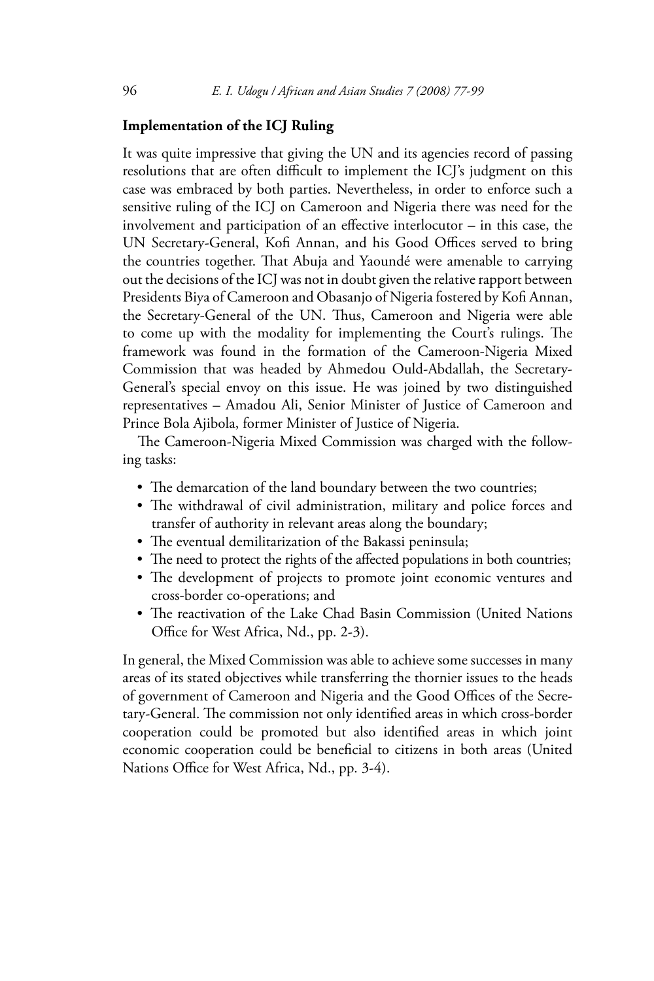## **Implementation of the ICJ Ruling**

 It was quite impressive that giving the UN and its agencies record of passing resolutions that are often difficult to implement the ICJ's judgment on this case was embraced by both parties. Nevertheless, in order to enforce such a sensitive ruling of the ICJ on Cameroon and Nigeria there was need for the involvement and participation of an effective interlocutor – in this case, the UN Secretary-General, Kofi Annan, and his Good Offices served to bring the countries together. That Abuja and Yaoundé were amenable to carrying out the decisions of the ICJ was not in doubt given the relative rapport between Presidents Biya of Cameroon and Obasanjo of Nigeria fostered by Kofi Annan, the Secretary-General of the UN. Thus, Cameroon and Nigeria were able to come up with the modality for implementing the Court's rulings. The framework was found in the formation of the Cameroon-Nigeria Mixed Commission that was headed by Ahmedou Ould-Abdallah, the Secretary-General's special envoy on this issue. He was joined by two distinguished representatives – Amadou Ali, Senior Minister of Justice of Cameroon and Prince Bola Ajibola, former Minister of Justice of Nigeria.

The Cameroon-Nigeria Mixed Commission was charged with the following tasks:

- The demarcation of the land boundary between the two countries;
- The withdrawal of civil administration, military and police forces and transfer of authority in relevant areas along the boundary;
- The eventual demilitarization of the Bakassi peninsula;
- The need to protect the rights of the affected populations in both countries;
- The development of projects to promote joint economic ventures and cross-border co-operations; and
- The reactivation of the Lake Chad Basin Commission (United Nations Office for West Africa, Nd., pp. 2-3).

 In general, the Mixed Commission was able to achieve some successes in many areas of its stated objectives while transferring the thornier issues to the heads of government of Cameroon and Nigeria and the Good Offices of the Secretary-General. The commission not only identified areas in which cross-border cooperation could be promoted but also identified areas in which joint economic cooperation could be beneficial to citizens in both areas (United Nations Office for West Africa, Nd., pp. 3-4).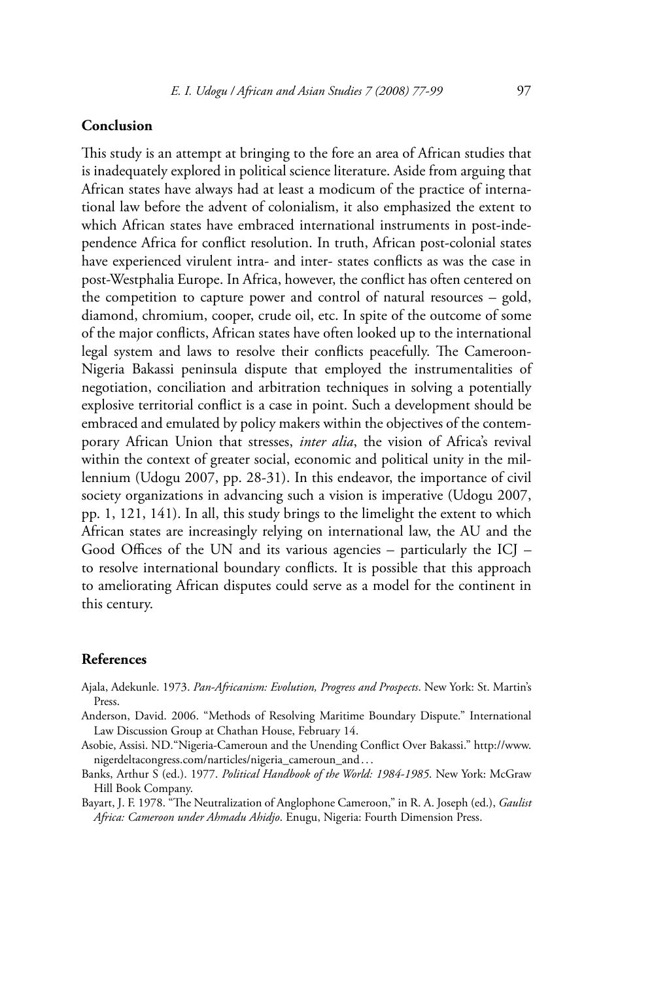## **Conclusion**

This study is an attempt at bringing to the fore an area of African studies that is inadequately explored in political science literature. Aside from arguing that African states have always had at least a modicum of the practice of international law before the advent of colonialism, it also emphasized the extent to which African states have embraced international instruments in post-independence Africa for conflict resolution. In truth, African post-colonial states have experienced virulent intra- and inter- states conflicts as was the case in post-Westphalia Europe. In Africa, however, the conflict has often centered on the competition to capture power and control of natural resources – gold, diamond, chromium, cooper, crude oil, etc. In spite of the outcome of some of the major conflicts, African states have often looked up to the international legal system and laws to resolve their conflicts peacefully. The Cameroon-Nigeria Bakassi peninsula dispute that employed the instrumentalities of negotiation, conciliation and arbitration techniques in solving a potentially explosive territorial conflict is a case in point. Such a development should be embraced and emulated by policy makers within the objectives of the contemporary African Union that stresses, *inter alia*, the vision of Africa's revival within the context of greater social, economic and political unity in the millennium (Udogu 2007, pp. 28-31). In this endeavor, the importance of civil society organizations in advancing such a vision is imperative (Udogu 2007, pp. 1, 121, 141). In all, this study brings to the limelight the extent to which African states are increasingly relying on international law, the AU and the Good Offices of the UN and its various agencies – particularly the ICJ – to resolve international boundary conflicts. It is possible that this approach to ameliorating African disputes could serve as a model for the continent in this century.

#### **References**

- Ajala, Adekunle. 1973. *Pan-Africanism: Evolution, Progress and Prospects*. New York: St. Martin's Press.
- Anderson, David. 2006. "Methods of Resolving Maritime Boundary Dispute." International Law Discussion Group at Chathan House, February 14.
- Asobie, Assisi. ND."Nigeria-Cameroun and the Unending Conflict Over Bakassi." http://www. nigerdeltacongress.com/narticles/nigeria\_cameroun\_and . . .
- Banks, Arthur S (ed.). 1977. *Political Handbook of the World: 1984-1985*. New York: McGraw Hill Book Company.
- Bayart, J. F. 1978. "The Neutralization of Anglophone Cameroon," in R. A. Joseph (ed.), *Gaulist Africa: Cameroon under Ahmadu Ahidjo*. Enugu, Nigeria: Fourth Dimension Press.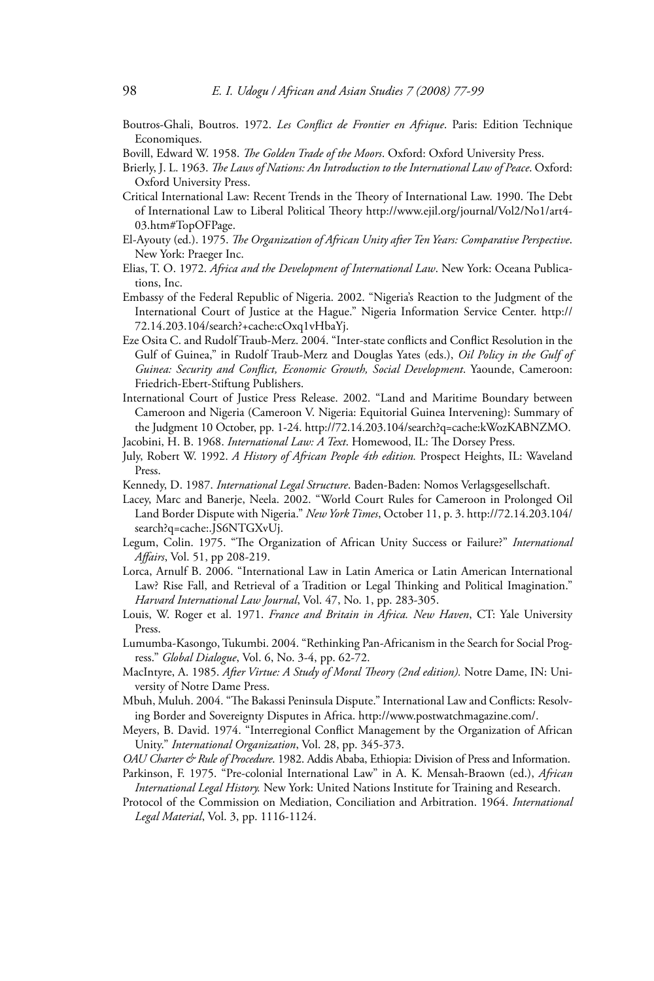- Boutros-Ghali, Boutros. 1972. *Les Conflict de Frontier en Afrique*. Paris: Edition Technique Economiques.
- Bovill, Edward W. 1958. *The Golden Trade of the Moors*. Oxford: Oxford University Press.
- Brierly, J. L. 1963. *The Laws of Nations: An Introduction to the International Law of Peace*. Oxford: Oxford University Press.
- Critical International Law: Recent Trends in the Theory of International Law. 1990. The Debt of International Law to Liberal Political Theory http://www.ejil.org/journal/Vol2/No1/art4-03.htm#TopOFPage.
- El-Ayouty (ed.). 1975. *The Organization of African Unity after Ten Years: Comparative Perspective.* New York: Praeger Inc.
- Elias, T. O. 1972. *Africa and the Development of International Law*. New York: Oceana Publications, Inc.
- Embassy of the Federal Republic of Nigeria. 2002. "Nigeria's Reaction to the Judgment of the International Court of Justice at the Hague." Nigeria Information Service Center. http:// 72.14.203.104/search?+cache:cOxq1vHbaYj .
- Eze Osita C. and Rudolf Traub-Merz. 2004. "Inter-state conflicts and Conflict Resolution in the Gulf of Guinea," in Rudolf Traub-Merz and Douglas Yates (eds.), *Oil Policy in the Gulf of Guinea: Security and Conflict, Economic Growth, Social Development*. Yaounde, Cameroon: Friedrich-Ebert-Stiftung Publishers.
- International Court of Justice Press Release. 2002. "Land and Maritime Boundary between Cameroon and Nigeria (Cameroon V. Nigeria: Equitorial Guinea Intervening): Summary of the Judgment 10 October, pp. 1-24. http://72.14.203.104/search?q=cache:kWozKABNZMO.
- Jacobini, H. B. 1968. *International Law: A Text*. Homewood, IL: The Dorsey Press.
- July, Robert W. 1992. *A History of African People 4th edition.* Prospect Heights, IL: Waveland Press.
- Kennedy, D. 1987. *International Legal Structure*. Baden-Baden: Nomos Verlagsgesellschaft.
- Lacey, Marc and Banerje, Neela. 2002. "World Court Rules for Cameroon in Prolonged Oil Land Border Dispute with Nigeria." *New York Times*, October 11, p. 3. http://72.14.203.104/ search?q=cache:.JS6NTGXvUj.
- Legum, Colin. 1975. "The Organization of African Unity Success or Failure?" International *Affairs*, Vol. 51, pp 208-219.
- Lorca, Arnulf B. 2006. "International Law in Latin America or Latin American International Law? Rise Fall, and Retrieval of a Tradition or Legal Thinking and Political Imagination." *Harvard International Law Journal*, Vol. 47, No. 1, pp. 283-305.
- Louis, W. Roger et al. 1971. *France and Britain in Africa. New Haven*, CT: Yale University Press.
- Lumumba-Kasongo, Tukumbi. 2004. "Rethinking Pan-Africanism in the Search for Social Progress." *Global Dialogue*, Vol. 6, No. 3-4, pp. 62-72.
- MacIntyre, A. 1985. *After Virtue: A Study of Moral Theory (2nd edition)*. Notre Dame, IN: University of Notre Dame Press.
- Mbuh, Muluh. 2004. "The Bakassi Peninsula Dispute." International Law and Conflicts: Resolving Border and Sovereignty Disputes in Africa. http://www.postwatchmagazine.com/ .
- Meyers, B. David. 1974. "Interregional Conflict Management by the Organization of African Unity." *International Organization*, Vol. 28, pp. 345-373.
- *OAU Charter & Rule of Procedure*. 1982. Addis Ababa, Ethiopia: Division of Press and Information .
- Parkinson, F. 1975. "Pre-colonial International Law" in A. K. Mensah-Braown (ed.), *African International Legal History.* New York: United Nations Institute for Training and Research.
- Protocol of the Commission on Mediation, Conciliation and Arbitration. 1964. *International Legal Material*, Vol. 3, pp. 1116-1124.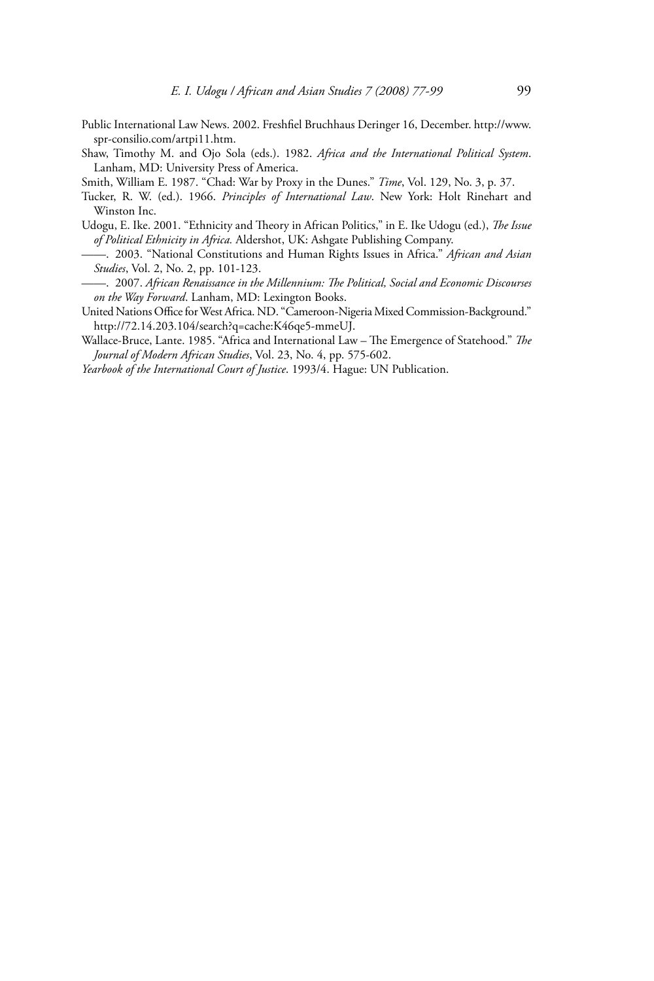- Public International Law News. 2002. Freshfiel Bruchhaus Deringer 16, December. http://www. spr-consilio.com/artpi11.htm.
- Shaw, Timothy M. and Ojo Sola (eds.). 1982. *Africa and the International Political System*. Lanham, MD: University Press of America.
- Smith, William E. 1987. "Chad: War by Proxy in the Dunes." *Time*, Vol. 129, No. 3, p. 37.
- Tucker, R. W. (ed.). 1966. *Principles of International Law*. New York: Holt Rinehart and Winston Inc.
- Udogu, E. Ike. 2001. "Ethnicity and Theory in African Politics," in E. Ike Udogu (ed.), *The Issue of Political Ethnicity in Africa.* Aldershot, UK: Ashgate Publishing Company.
	- ——. 2003. "National Constitutions and Human Rights Issues in Africa." *African and Asian Studies*, Vol. 2, No. 2, pp. 101-123.
	- ——. 2007. *African Renaissance in the Millennium: Th e Political, Social and Economic Discourses on the Way Forward*. Lanham, MD: Lexington Books.
- United Nations Office for West Africa. ND. "Cameroon-Nigeria Mixed Commission-Background." http://72.14.203.104/search?q=cache:K46qe5-mmeUJ .
- Wallace-Bruce, Lante. 1985. "Africa and International Law The Emergence of Statehood." The *Journal of Modern African Studies*, Vol. 23, No. 4, pp. 575-602.
- *Yearbook of the International Court of Justice*. 1993/4. Hague: UN Publication.